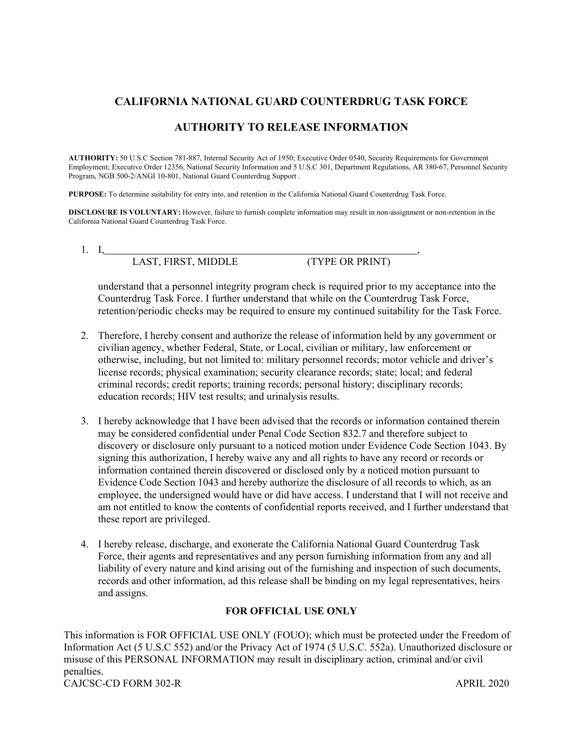## **CALIFORNIA NATIONAL GUARD COUNTERDRUG TASK FORCE**

## **AUTHORITY TO RELEASE INFORMATION**

**AUTHORITY:** 50 U.S.C Section 781-887, Internal Security Act of 1950; Executive Order 0540, Security Requirements for Government Employment; Executive Order 12356, National Security Information and 5 U.S.C 301, Department Regulations, AR 380-67, Personnel Security Program, NGB 500-2/ANGI 10-801, National Guard Counterdrug Support .

**PURPOSE:** To determine suitability for entry into, and retention in the California National Guard Counterdrug Task Force.

**DISCLOSURE IS VOLUNTARY:** However, failure to furnish complete information may result in non-assignment or non-retention in the California National Guard Counterdrug Task Force.

1. I, ,

LAST, FIRST, MIDDLE

(TYPE OR PRINT)

understand that a personnel integrity program check is required prior to my acceptance into the Counterdrug Task Force. I further understand that while on the Counterdrug Task Force, retention/periodic checks may be required to ensure my continued suitability for the Task Force.

- 2. Therefore, I hereby consent and authorize the release of information held by any government or education records; HIV test results; and urinalysis results. civilian agency, whether Federal, State, or Local, civilian or military, law enforcement or otherwise, including, but not limited to: military personnel records; motor vehicle and driver's license records; physical examination; security clearance records; state; local; and federal criminal records; credit reports; training records; personal history; disciplinary records;
- discovery or disclosure only pursuant to a noticed motion under Evidence Code Section 1043. By information contained therein discovered or disclosed only by a noticed motion pursuant to Evidence Code Section 1043 and hereby authorize the disclosure of all records to which, as an 3. I hereby acknowledge that I have been advised that the records or information contained therein may be considered confidential under Penal Code Section 832.7 and therefore subject to signing this authorization, I hereby waive any and all rights to have any record or records or employee, the undersigned would have or did have access. I understand that I will not receive and am not entitled to know the contents of confidential reports received, and I further understand that these report are privileged.
- Force, their agents and representatives and any person furnishing information from any and all liability of every nature and kind arising out of the furnishing and inspection of such documents, and assigns. 4. I hereby release, discharge, and exonerate the California National Guard Counterdrug Task records and other information, ad this release shall be binding on my legal representatives, heirs

#### **FOR OFFICIAL USE ONLY**

CAJCSC-CD FORM 302-R APRIL 2020 This information is FOR OFFICIAL USE ONLY (FOUO); which must be protected under the Freedom of Information Act (5 U.S.C 552) and/or the Privacy Act of 1974 (5 U.S.C. 552a). Unauthorized disclosure or misuse of this PERSONAL INFORMATION may result in disciplinary action, criminal and/or civil penalties.